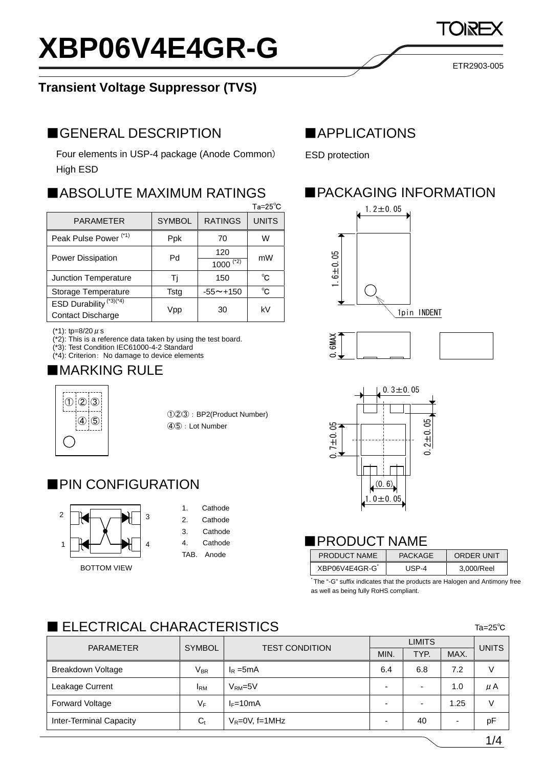# **XBP06V4E4GR-G**

#### **Transient Voltage Suppressor (TVS)**

#### ■GENERAL DESCRIPTION ■APPLICATIONS

Four elements in USP-4 package (Anode Common) High ESD

#### ■ABSOLUTE MAXIMUM RATINGS

|                                    |               |                 | $Ta = 25^{\circ}C$ |  |
|------------------------------------|---------------|-----------------|--------------------|--|
| <b>PARAMETER</b>                   | <b>SYMBOL</b> | <b>RATINGS</b>  | <b>UNITS</b>       |  |
| Peak Pulse Power <sup>(*1)</sup>   | <b>Ppk</b>    | 70              | w                  |  |
| <b>Power Dissipation</b>           | Pd            | 120             | mW                 |  |
|                                    |               | $(*2)$<br>1000  |                    |  |
| Junction Temperature               | Ti            | 150             | °C                 |  |
| Storage Temperature                | Tstg          | $-55 \sim +150$ | °C                 |  |
| ESD Durability <sup>(*3)(*4)</sup> |               | 30              | kV                 |  |
| Contact Discharge                  | Vpp           |                 |                    |  |
|                                    |               |                 |                    |  |

(\*1): tp=8/20  $\mu$  s

(\*2): This is a reference data taken by using the test board.

(\*3): Test Condition IEC61000-4-2 Standard

(\*4): Criterion: No damage to device elements

# ■MARKING RULE



①②③:BP2(Product Number) ④⑤:Lot Number

#### ■PIN CONFIGURATION



#### 1. Cathode

- 2. Cathode
- 3. Cathode
- 4. Cathode
- TAB. Anode

ESD protection

# **PACKAGING INFORMATION**







#### ■PRODUCT NAME

|                 | TAB.<br>Anode | <b>PRODUCT NAME</b> | <b>PACKAGE</b> | <b>ORDER UNIT</b> |
|-----------------|---------------|---------------------|----------------|-------------------|
| TOM VIEW<br>BO. |               | XBP06V4E4GR-G       | <b>JSP-4</b>   | 3.000/Reel        |

\* The "-G" suffix indicates that the products are Halogen and Antimony free as well as being fully RoHS compliant.

# $\blacksquare$  ELECTRICAL CHARACTERISTICS

| <b>PARAMETER</b>               | <b>SYMBOL</b>              | <b>TEST CONDITION</b> | <b>LIMITS</b>            |      |      | <b>UNITS</b> |
|--------------------------------|----------------------------|-----------------------|--------------------------|------|------|--------------|
|                                |                            |                       | MIN.                     | TYP. | MAX. |              |
| Breakdown Voltage              | $\mathsf{V}_{\mathsf{BR}}$ | $I_R = 5mA$           | 6.4                      | 6.8  | 7.2  | V            |
| Leakage Current                | <b>IRM</b>                 | $VRM=5V$              | $\overline{\phantom{0}}$ | -    | 1.0  | μA           |
| <b>Forward Voltage</b>         | VF                         | $I_F=10mA$            | $\overline{\phantom{0}}$ |      | 1.25 | V            |
| <b>Inter-Terminal Capacity</b> | $C_{t}$                    | $V_R = 0V$ , f=1MHz   | $\overline{\phantom{0}}$ | 40   |      | рF           |

ETR2903-005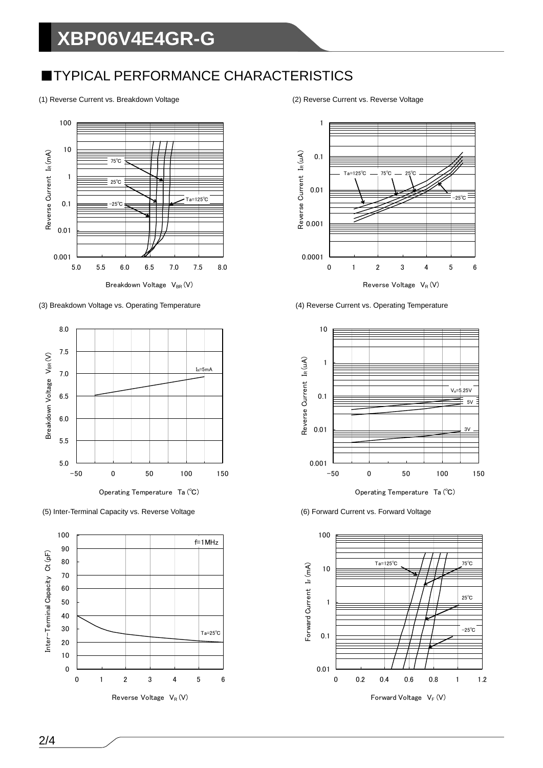# **XBP06V4E4GR-G**

#### **TYPICAL PERFORMANCE CHARACTERISTICS**

(1) Reverse Current vs. Breakdown Voltage (2) Reverse Current vs. Reverse Voltage



(3) Breakdown Voltage vs. Operating Temperature (4) Reverse Current vs. Operating Temperature



(5) Inter-Terminal Capacity vs. Reverse Voltage (6) Forward Current vs. Forward Voltage







Operating Temperature Ta (℃)

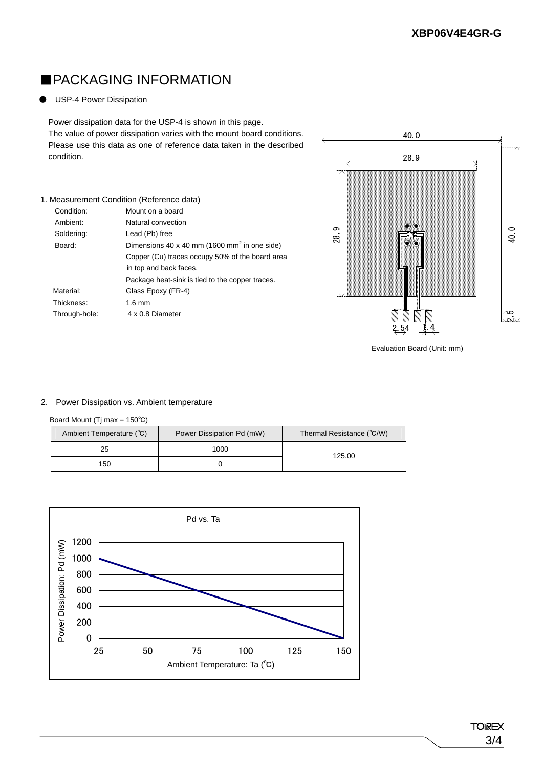## ■PACKAGING INFORMATION

1. Measurement Condition (Reference data) Condition: Mount on a board Ambient: Natural convection Soldering: Lead (Pb) free

Material: Glass Epoxy (FR-4)

Through-hole: 4 x 0.8 Diameter

Thickness: 1.6 mm

#### **USP-4 Power Dissipation**

Power dissipation data for the USP-4 is shown in this page. The value of power dissipation varies with the mount board conditions. Please use this data as one of reference data taken in the describe condition.

Board: Dimensions 40 x 40 mm (1600 mm<sup>2</sup> in one side)

in top and back faces.

Copper (Cu) traces occupy 50% of the board area

Package heat-sink is tied to the copper traces.

|      | 28.9                 |               |
|------|----------------------|---------------|
| 28.9 | $\frac{1}{\sqrt{2}}$ | 40.0          |
|      |                      | لمنط<br>حاصلہ |

Evaluation Board (Unit: mm)

#### 2. Power Dissipation vs. Ambient temperature

#### Board Mount (Tj max = 150℃)

| Ambient Temperature (°C) | Power Dissipation Pd (mW) | Thermal Resistance (°C/W) |
|--------------------------|---------------------------|---------------------------|
| 25                       | 1000                      | 125.00                    |
| 150                      |                           |                           |